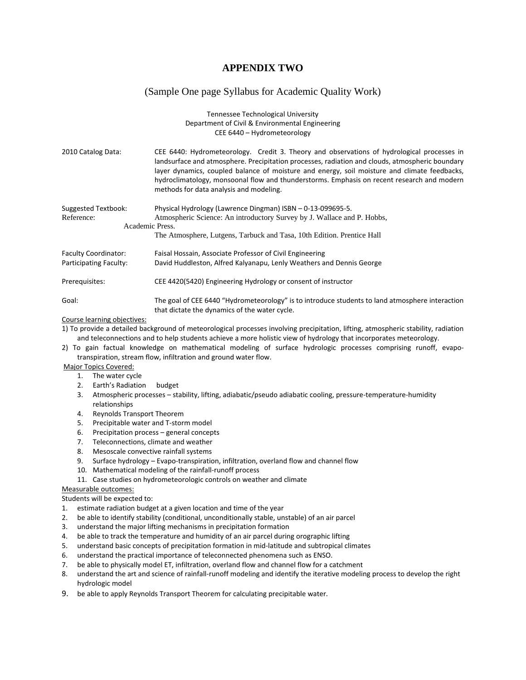# **APPENDIX TWO**

## (Sample One page Syllabus for Academic Quality Work)

#### Tennessee Technological University Department of Civil & Environmental Engineering CEE 6440 – Hydrometeorology

2010 Catalog Data: CEE 6440: Hydrometeorology. Credit 3. Theory and observations of hydrological processes in landsurface and atmosphere. Precipitation processes, radiation and clouds, atmospheric boundary layer dynamics, coupled balance of moisture and energy, soil moisture and climate feedbacks, hydroclimatology, monsoonal flow and thunderstorms. Emphasis on recent research and modern methods for data analysis and modeling.

| Suggested Textbook:<br>Reference: | Physical Hydrology (Lawrence Dingman) ISBN - 0-13-099695-5.<br>Atmospheric Science: An introductory Survey by J. Wallace and P. Hobbs,           |  |  |  |  |  |
|-----------------------------------|--------------------------------------------------------------------------------------------------------------------------------------------------|--|--|--|--|--|
|                                   | Academic Press.                                                                                                                                  |  |  |  |  |  |
|                                   | The Atmosphere, Lutgens, Tarbuck and Tasa, 10th Edition. Prentice Hall                                                                           |  |  |  |  |  |
| <b>Faculty Coordinator:</b>       | Faisal Hossain, Associate Professor of Civil Engineering                                                                                         |  |  |  |  |  |
| Participating Faculty:            | David Huddleston, Alfred Kalyanapu, Lenly Weathers and Dennis George                                                                             |  |  |  |  |  |
| Prerequisites:                    | CEE 4420(5420) Engineering Hydrology or consent of instructor                                                                                    |  |  |  |  |  |
| Goal:                             | The goal of CEE 6440 "Hydrometeorology" is to introduce students to land atmosphere interaction<br>that dictate the dynamics of the water cycle. |  |  |  |  |  |

#### Course learning objectives:

1) To provide a detailed background of meteorological processes involving precipitation, lifting, atmospheric stability, radiation and teleconnections and to help students achieve a more holistic view of hydrology that incorporates meteorology.

2) To gain factual knowledge on mathematical modeling of surface hydrologic processes comprising runoff, evapo‐ transpiration, stream flow, infiltration and ground water flow.

### Major Topics Covered:

- 1. The water cycle
- 2. Earth's Radiation budget
- 3. Atmospheric processes stability, lifting, adiabatic/pseudo adiabatic cooling, pressure‐temperature‐humidity relationships
- 4. Reynolds Transport Theorem
- 5. Precipitable water and T‐storm model
- 6. Precipitation process general concepts
- 7. Teleconnections, climate and weather
- 8. Mesoscale convective rainfall systems
- 9. Surface hydrology Evapo-transpiration, infiltration, overland flow and channel flow
- 10. Mathematical modeling of the rainfall‐runoff process
- 11. Case studies on hydrometeorologic controls on weather and climate

#### Measurable outcomes:

Students will be expected to:

- 1. estimate radiation budget at a given location and time of the year
- 2. be able to identify stability (conditional, unconditionally stable, unstable) of an air parcel
- 3. understand the major lifting mechanisms in precipitation formation
- 4. be able to track the temperature and humidity of an air parcel during orographic lifting
- 5. understand basic concepts of precipitation formation in mid-latitude and subtropical climates
- 6. understand the practical importance of teleconnected phenomena such as ENSO.
- 7. be able to physically model ET, infiltration, overland flow and channel flow for a catchment
- 8. understand the art and science of rainfall-runoff modeling and identify the iterative modeling process to develop the right hydrologic model
- 9. be able to apply Reynolds Transport Theorem for calculating precipitable water.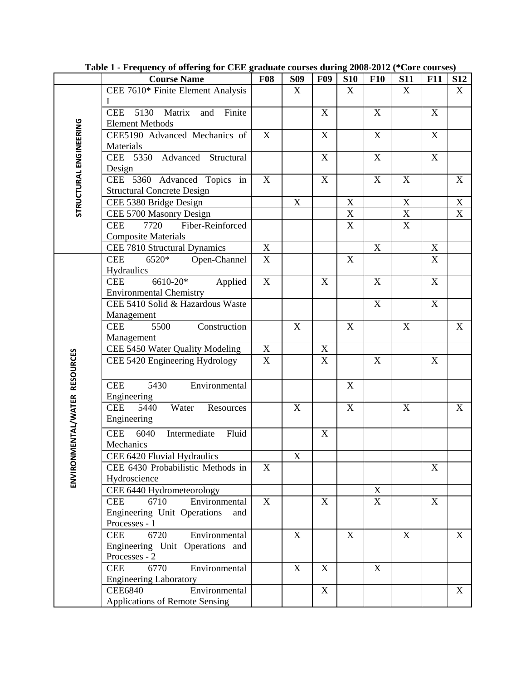|                                     | <b>Course Name</b>                                                     | <b>F08</b>       | <b>S09</b>  | <b>F09</b>                                             | <b>S10</b>       | <b>F10</b>  | <b>S11</b>                 | <b>F11</b>  | <b>S12</b>                             |
|-------------------------------------|------------------------------------------------------------------------|------------------|-------------|--------------------------------------------------------|------------------|-------------|----------------------------|-------------|----------------------------------------|
|                                     | CEE 7610* Finite Element Analysis                                      |                  | X           |                                                        | X                |             | $\boldsymbol{X}$           |             | X                                      |
|                                     | <b>CEE</b><br>5130 Matrix<br>and<br>Finite                             |                  |             | $\mathbf X$                                            |                  | $\mathbf X$ |                            | $\mathbf X$ |                                        |
|                                     | <b>Element Methods</b>                                                 |                  |             |                                                        |                  |             |                            |             |                                        |
| STRUCTURAL ENGINEERING              | CEE5190 Advanced Mechanics of                                          | X                |             | $\mathbf X$                                            |                  | $\mathbf X$ |                            | X           |                                        |
|                                     | Materials                                                              |                  |             |                                                        |                  |             |                            |             |                                        |
|                                     | CEE 5350 Advanced Structural                                           |                  |             | $\mathbf X$                                            |                  | $\mathbf X$ |                            | $\mathbf X$ |                                        |
|                                     | Design                                                                 |                  |             |                                                        |                  |             |                            |             |                                        |
|                                     | CEE 5360 Advanced Topics in                                            | X                |             | $\mathbf X$                                            |                  | $\mathbf X$ | X                          |             | X                                      |
|                                     | <b>Structural Concrete Design</b>                                      |                  |             |                                                        |                  |             |                            |             |                                        |
|                                     | CEE 5380 Bridge Design                                                 |                  | $\mathbf X$ |                                                        | $\mathbf X$      |             | $\mathbf X$                |             | $\mathbf X$<br>$\overline{\mathbf{X}}$ |
|                                     | CEE 5700 Masonry Design<br>Fiber-Reinforced<br><b>CEE</b><br>7720      |                  |             |                                                        | $\mathbf X$<br>X |             | $\mathbf X$<br>$\mathbf X$ |             |                                        |
|                                     | <b>Composite Materials</b>                                             |                  |             |                                                        |                  |             |                            |             |                                        |
|                                     | CEE 7810 Structural Dynamics                                           | X                |             |                                                        |                  | $\mathbf X$ |                            | $\mathbf X$ |                                        |
|                                     | 6520*<br><b>CEE</b><br>Open-Channel                                    | X                |             |                                                        | $\mathbf X$      |             |                            | $\mathbf X$ |                                        |
|                                     | Hydraulics                                                             |                  |             |                                                        |                  |             |                            |             |                                        |
|                                     | 6610-20*<br>Applied<br><b>CEE</b>                                      | $\mathbf X$      |             | $\boldsymbol{\mathrm{X}}$                              |                  | $\mathbf X$ |                            | $\mathbf X$ |                                        |
|                                     | <b>Environmental Chemistry</b>                                         |                  |             |                                                        |                  |             |                            |             |                                        |
|                                     | CEE 5410 Solid & Hazardous Waste                                       |                  |             |                                                        |                  | $\mathbf X$ |                            | X           |                                        |
|                                     | Management                                                             |                  |             |                                                        |                  |             |                            |             |                                        |
|                                     | 5500<br>Construction<br><b>CEE</b>                                     |                  | $\mathbf X$ |                                                        | $\mathbf X$      |             | $\mathbf X$                |             | $\mathbf X$                            |
|                                     | Management                                                             |                  |             |                                                        |                  |             |                            |             |                                        |
|                                     | CEE 5450 Water Quality Modeling<br>CEE 5420 Engineering Hydrology      | X<br>$\mathbf X$ |             | $\boldsymbol{\mathrm{X}}$<br>$\boldsymbol{\mathrm{X}}$ |                  | X           |                            | X           |                                        |
| NMENTAL/WATER RESOURCES             |                                                                        |                  |             |                                                        |                  |             |                            |             |                                        |
|                                     | Environmental<br><b>CEE</b><br>5430                                    |                  |             |                                                        | X                |             |                            |             |                                        |
|                                     | Engineering                                                            |                  |             |                                                        |                  |             |                            |             |                                        |
|                                     | <b>CEE</b><br>5440<br>Water<br>Resources                               |                  | $\mathbf X$ |                                                        | $\mathbf X$      |             | $\mathbf X$                |             | $\mathbf X$                            |
|                                     | Engineering                                                            |                  |             |                                                        |                  |             |                            |             |                                        |
|                                     | <b>CEE</b><br>6040<br>Fluid<br>Intermediate                            |                  |             | $\mathbf X$                                            |                  |             |                            |             |                                        |
|                                     | Mechanics                                                              |                  |             |                                                        |                  |             |                            |             |                                        |
|                                     | CEE 6420 Fluvial Hydraulics                                            |                  | $\mathbf X$ |                                                        |                  |             |                            |             |                                        |
|                                     | CEE 6430 Probabilistic Methods in                                      | X                |             |                                                        |                  |             |                            | X           |                                        |
| ENVIRO                              | Hydroscience                                                           |                  |             |                                                        |                  |             |                            |             |                                        |
|                                     | CEE 6440 Hydrometeorology                                              |                  |             |                                                        |                  | $\mathbf X$ |                            |             |                                        |
| <b>CEE</b><br>6710<br>Environmental |                                                                        | X                |             | $\boldsymbol{\mathrm{X}}$                              |                  | $\mathbf X$ |                            | X           |                                        |
|                                     | Engineering Unit Operations<br>and                                     |                  |             |                                                        |                  |             |                            |             |                                        |
|                                     | Processes - 1                                                          |                  |             |                                                        |                  |             |                            |             |                                        |
|                                     | Environmental<br>6720<br><b>CEE</b><br>Engineering Unit Operations and |                  | $\mathbf X$ |                                                        | X                |             | X                          |             | X                                      |
|                                     | Processes - 2                                                          |                  |             |                                                        |                  |             |                            |             |                                        |
|                                     | 6770<br>Environmental<br><b>CEE</b>                                    |                  | $\mathbf X$ | X                                                      |                  | $\mathbf X$ |                            |             |                                        |
|                                     | <b>Engineering Laboratory</b>                                          |                  |             |                                                        |                  |             |                            |             |                                        |
|                                     | Environmental<br><b>CEE6840</b>                                        |                  |             | $\mathbf X$                                            |                  |             |                            |             | X                                      |
|                                     | <b>Applications of Remote Sensing</b>                                  |                  |             |                                                        |                  |             |                            |             |                                        |

**Table 1 - Frequency of offering for CEE graduate courses during 2008-2012 (\*Core courses)**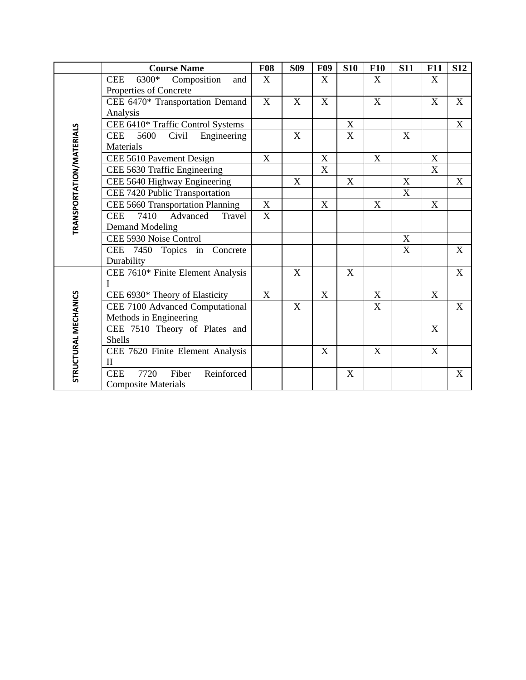|                          | <b>Course Name</b>                                                  | <b>F08</b>              | <b>S09</b>                | <b>F09</b>                | <b>S10</b>  | <b>F10</b>  | <b>S11</b>  | <b>F11</b>                | <b>S12</b>                |
|--------------------------|---------------------------------------------------------------------|-------------------------|---------------------------|---------------------------|-------------|-------------|-------------|---------------------------|---------------------------|
|                          | 6300*<br>Composition<br><b>CEE</b><br>and<br>Properties of Concrete | X                       |                           | $\boldsymbol{\mathrm{X}}$ |             | X           |             | X                         |                           |
|                          | CEE 6470* Transportation Demand<br>Analysis                         | $\mathbf X$             | X                         | X                         |             | $\mathbf X$ |             | $\boldsymbol{\mathrm{X}}$ | $\boldsymbol{\mathrm{X}}$ |
|                          | CEE 6410* Traffic Control Systems                                   |                         |                           |                           | $\mathbf X$ |             |             |                           | $\mathbf X$               |
| TRANSPORTATION/MATERIALS | <b>CEE</b><br>5600<br>Civil<br>Engineering<br>Materials             |                         | $\boldsymbol{\mathrm{X}}$ |                           | X           |             | X           |                           |                           |
|                          | CEE 5610 Pavement Design                                            | $\mathbf X$             |                           | $\mathbf X$               |             | $\mathbf X$ |             | $\mathbf X$               |                           |
|                          | CEE 5630 Traffic Engineering                                        |                         |                           | X                         |             |             |             | X                         |                           |
|                          | CEE 5640 Highway Engineering                                        |                         | $\boldsymbol{\mathrm{X}}$ |                           | $\mathbf X$ |             | $\mathbf X$ |                           | $\boldsymbol{\mathrm{X}}$ |
|                          | CEE 7420 Public Transportation                                      |                         |                           |                           |             |             | $\mathbf X$ |                           |                           |
|                          | CEE 5660 Transportation Planning                                    | $\mathbf X$             |                           | X                         |             | X           |             | X                         |                           |
|                          | Advanced<br><b>CEE</b><br>7410<br>Travel                            | $\overline{\mathbf{X}}$ |                           |                           |             |             |             |                           |                           |
|                          | <b>Demand Modeling</b>                                              |                         |                           |                           |             |             |             |                           |                           |
|                          | CEE 5930 Noise Control                                              |                         |                           |                           |             |             | X           |                           |                           |
|                          | CEE 7450 Topics in Concrete<br>Durability                           |                         |                           |                           |             |             | X           |                           | X                         |
|                          | CEE 7610* Finite Element Analysis<br>I                              |                         | X                         |                           | X           |             |             |                           | $\mathbf X$               |
|                          | CEE 6930* Theory of Elasticity                                      | X                       |                           | X                         |             | $\mathbf X$ |             | $\mathbf X$               |                           |
|                          | CEE 7100 Advanced Computational                                     |                         | X                         |                           |             | $\mathbf X$ |             |                           | $\mathbf X$               |
|                          | Methods in Engineering                                              |                         |                           |                           |             |             |             |                           |                           |
|                          | CEE 7510 Theory of Plates and                                       |                         |                           |                           |             |             |             | X                         |                           |
|                          | Shells                                                              |                         |                           |                           |             |             |             |                           |                           |
|                          | CEE 7620 Finite Element Analysis                                    |                         |                           | X                         |             | $\mathbf X$ |             | $\mathbf X$               |                           |
| STRUCTURAL MECHANICS     | $\mathbf{I}$                                                        |                         |                           |                           |             |             |             |                           |                           |
|                          | 7720<br>Reinforced<br>Fiber<br><b>CEE</b>                           |                         |                           |                           | X           |             |             |                           | $\boldsymbol{\mathrm{X}}$ |
|                          | <b>Composite Materials</b>                                          |                         |                           |                           |             |             |             |                           |                           |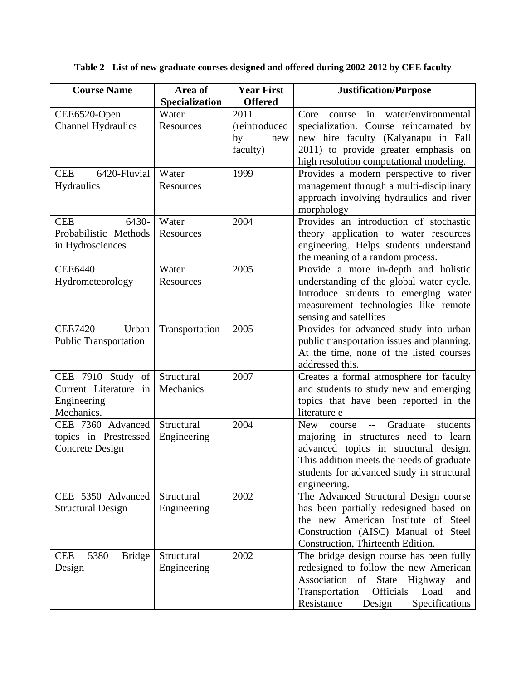**Table 2 - List of new graduate courses designed and offered during 2002-2012 by CEE faculty** 

| <b>Course Name</b>                  | Area of<br>Specialization | <b>Year First</b><br><b>Offered</b> | <b>Justification/Purpose</b>                               |
|-------------------------------------|---------------------------|-------------------------------------|------------------------------------------------------------|
| CEE6520-Open                        | Water                     | 2011                                | water/environmental<br>Core<br>in<br>course                |
| <b>Channel Hydraulics</b>           | Resources                 | (reintroduced                       | specialization. Course reincarnated by                     |
|                                     |                           | by<br>new                           | new hire faculty (Kalyanapu in Fall                        |
|                                     |                           | faculty)                            | 2011) to provide greater emphasis on                       |
|                                     |                           |                                     | high resolution computational modeling.                    |
| 6420-Fluvial<br><b>CEE</b>          | Water                     | 1999                                | Provides a modern perspective to river                     |
| Hydraulics                          | <b>Resources</b>          |                                     | management through a multi-disciplinary                    |
|                                     |                           |                                     | approach involving hydraulics and river                    |
|                                     |                           |                                     | morphology                                                 |
| 6430-<br><b>CEE</b>                 | Water                     | 2004                                | Provides an introduction of stochastic                     |
| Probabilistic Methods               | Resources                 |                                     | theory application to water resources                      |
| in Hydrosciences                    |                           |                                     | engineering. Helps students understand                     |
|                                     |                           |                                     | the meaning of a random process.                           |
| <b>CEE6440</b>                      | Water                     | 2005                                | Provide a more in-depth and holistic                       |
| Hydrometeorology                    | Resources                 |                                     | understanding of the global water cycle.                   |
|                                     |                           |                                     | Introduce students to emerging water                       |
|                                     |                           |                                     | measurement technologies like remote                       |
|                                     |                           |                                     | sensing and satellites                                     |
| <b>CEE7420</b><br>Urban             | Transportation            | 2005                                | Provides for advanced study into urban                     |
| <b>Public Transportation</b>        |                           |                                     | public transportation issues and planning.                 |
|                                     |                           |                                     | At the time, none of the listed courses<br>addressed this. |
| CEE 7910 Study of                   | Structural                | 2007                                | Creates a formal atmosphere for faculty                    |
| Current Literature in               | Mechanics                 |                                     | and students to study new and emerging                     |
| Engineering                         |                           |                                     | topics that have been reported in the                      |
| Mechanics.                          |                           |                                     | literature e                                               |
| CEE 7360 Advanced                   | Structural                | 2004                                | Graduate<br>New<br>students<br>course<br>$-$               |
| topics in Prestressed               | Engineering               |                                     | majoring in structures need to learn                       |
| <b>Concrete Design</b>              |                           |                                     | advanced topics in structural design.                      |
|                                     |                           |                                     | This addition meets the needs of graduate                  |
|                                     |                           |                                     | students for advanced study in structural                  |
|                                     |                           |                                     | engineering.                                               |
| CEE 5350 Advanced                   | Structural                | 2002                                | The Advanced Structural Design course                      |
| <b>Structural Design</b>            | Engineering               |                                     | has been partially redesigned based on                     |
|                                     |                           |                                     | the new American Institute of Steel                        |
|                                     |                           |                                     | Construction (AISC) Manual of Steel                        |
|                                     |                           |                                     | Construction, Thirteenth Edition.                          |
| 5380<br><b>Bridge</b><br><b>CEE</b> | Structural                | 2002                                | The bridge design course has been fully                    |
| Design                              | Engineering               |                                     | redesigned to follow the new American                      |
|                                     |                           |                                     | Association of State Highway<br>and                        |
|                                     |                           |                                     | Officials<br>Transportation<br>Load<br>and                 |
|                                     |                           |                                     | Resistance<br>Specifications<br>Design                     |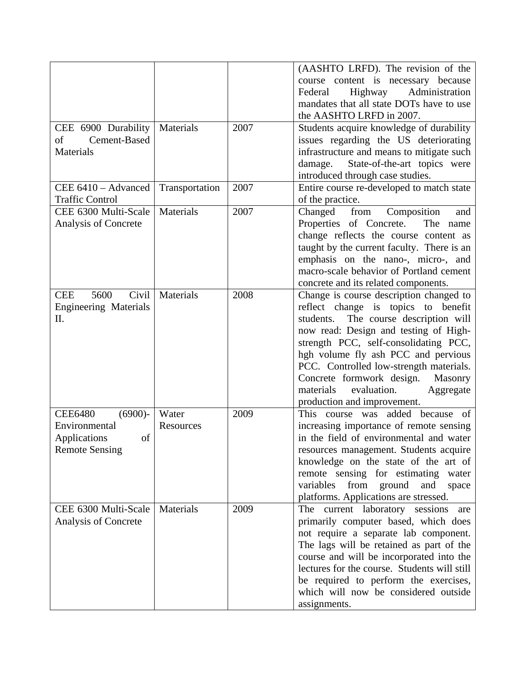|                              |                |      | (AASHTO LRFD). The revision of the           |
|------------------------------|----------------|------|----------------------------------------------|
|                              |                |      | course content is necessary because          |
|                              |                |      | Highway<br>Administration<br>Federal         |
|                              |                |      | mandates that all state DOTs have to use     |
|                              |                |      | the AASHTO LRFD in 2007.                     |
| CEE 6900 Durability          | Materials      | 2007 | Students acquire knowledge of durability     |
| Cement-Based<br>οf           |                |      | issues regarding the US deteriorating        |
| Materials                    |                |      | infrastructure and means to mitigate such    |
|                              |                |      | State-of-the-art topics were                 |
|                              |                |      | damage.                                      |
|                              |                |      | introduced through case studies.             |
| CEE 6410 - Advanced          | Transportation | 2007 | Entire course re-developed to match state    |
| <b>Traffic Control</b>       |                |      | of the practice.                             |
| CEE 6300 Multi-Scale         | Materials      | 2007 | Changed<br>from<br>Composition<br>and        |
| Analysis of Concrete         |                |      | Properties of Concrete.<br>The name          |
|                              |                |      | change reflects the course content as        |
|                              |                |      | taught by the current faculty. There is an   |
|                              |                |      | emphasis on the nano-, micro-, and           |
|                              |                |      | macro-scale behavior of Portland cement      |
|                              |                |      | concrete and its related components.         |
| 5600<br>Civil<br><b>CEE</b>  | Materials      | 2008 | Change is course description changed to      |
| <b>Engineering Materials</b> |                |      | reflect change is topics to benefit          |
| II.                          |                |      | The course description will<br>students.     |
|                              |                |      | now read: Design and testing of High-        |
|                              |                |      | strength PCC, self-consolidating PCC,        |
|                              |                |      | hgh volume fly ash PCC and pervious          |
|                              |                |      | PCC. Controlled low-strength materials.      |
|                              |                |      |                                              |
|                              |                |      | Concrete formwork design. Masonry            |
|                              |                |      | evaluation.<br>materials<br>Aggregate        |
|                              |                |      | production and improvement.                  |
| <b>CEE6480</b><br>$(6900)$ - | Water          | 2009 | This course was added because of             |
| Environmental                | Resources      |      | increasing importance of remote sensing      |
| Applications<br>of           |                |      | in the field of environmental and water      |
| <b>Remote Sensing</b>        |                |      | resources management. Students acquire       |
|                              |                |      | knowledge on the state of the art of         |
|                              |                |      | remote sensing for estimating<br>water       |
|                              |                |      | from ground<br>variables<br>and<br>space     |
|                              |                |      | platforms. Applications are stressed.        |
| CEE 6300 Multi-Scale         | Materials      | 2009 | The current laboratory sessions<br>are       |
| Analysis of Concrete         |                |      | primarily computer based, which does         |
|                              |                |      | not require a separate lab component.        |
|                              |                |      | The lags will be retained as part of the     |
|                              |                |      | course and will be incorporated into the     |
|                              |                |      | lectures for the course. Students will still |
|                              |                |      | be required to perform the exercises,        |
|                              |                |      | which will now be considered outside         |
|                              |                |      |                                              |
|                              |                |      | assignments.                                 |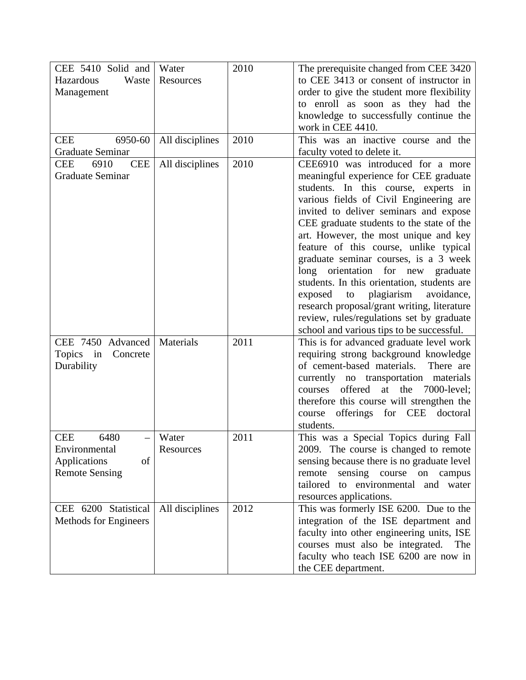| CEE 5410 Solid and                               | Water           | 2010 | The prerequisite changed from CEE 3420                                                |
|--------------------------------------------------|-----------------|------|---------------------------------------------------------------------------------------|
| Hazardous<br>Waste                               | Resources       |      | to CEE 3413 or consent of instructor in                                               |
| Management                                       |                 |      | order to give the student more flexibility                                            |
|                                                  |                 |      | to enroll as soon as they had the                                                     |
|                                                  |                 |      | knowledge to successfully continue the                                                |
|                                                  |                 |      | work in CEE 4410.                                                                     |
| 6950-60<br><b>CEE</b><br><b>Graduate Seminar</b> | All disciplines | 2010 | This was an inactive course and the                                                   |
| <b>CEE</b><br><b>CEE</b><br>6910                 | All disciplines | 2010 | faculty voted to delete it.<br>CEE6910 was introduced for a more                      |
| <b>Graduate Seminar</b>                          |                 |      | meaningful experience for CEE graduate                                                |
|                                                  |                 |      | students. In this course, experts in                                                  |
|                                                  |                 |      | various fields of Civil Engineering are                                               |
|                                                  |                 |      | invited to deliver seminars and expose                                                |
|                                                  |                 |      | CEE graduate students to the state of the                                             |
|                                                  |                 |      | art. However, the most unique and key                                                 |
|                                                  |                 |      | feature of this course, unlike typical                                                |
|                                                  |                 |      | graduate seminar courses, is a 3 week                                                 |
|                                                  |                 |      | long orientation for new graduate                                                     |
|                                                  |                 |      | students. In this orientation, students are                                           |
|                                                  |                 |      | plagiarism<br>exposed<br>to<br>avoidance,                                             |
|                                                  |                 |      | research proposal/grant writing, literature                                           |
|                                                  |                 |      | review, rules/regulations set by graduate                                             |
| CEE 7450 Advanced                                | Materials       | 2011 | school and various tips to be successful.<br>This is for advanced graduate level work |
| Topics in<br>Concrete                            |                 |      | requiring strong background knowledge                                                 |
| Durability                                       |                 |      | of cement-based materials.<br>There are                                               |
|                                                  |                 |      | currently no transportation materials                                                 |
|                                                  |                 |      | offered<br>at<br>the<br>7000-level;<br>courses                                        |
|                                                  |                 |      | therefore this course will strengthen the                                             |
|                                                  |                 |      | course offerings for CEE<br>doctoral                                                  |
|                                                  |                 |      | students.                                                                             |
| 6480<br><b>CEE</b>                               | Water           | 2011 | This was a Special Topics during Fall                                                 |
| Environmental                                    | Resources       |      | 2009. The course is changed to remote                                                 |
| Applications<br>of                               |                 |      | sensing because there is no graduate level                                            |
| <b>Remote Sensing</b>                            |                 |      | remote<br>sensing course<br>on campus                                                 |
|                                                  |                 |      | tailored to environmental and water                                                   |
|                                                  |                 | 2012 | resources applications.                                                               |
| CEE 6200 Statistical<br>Methods for Engineers    | All disciplines |      | This was formerly ISE 6200. Due to the<br>integration of the ISE department and       |
|                                                  |                 |      | faculty into other engineering units, ISE                                             |
|                                                  |                 |      | courses must also be integrated.<br>The                                               |
|                                                  |                 |      | faculty who teach ISE 6200 are now in                                                 |
|                                                  |                 |      | the CEE department.                                                                   |